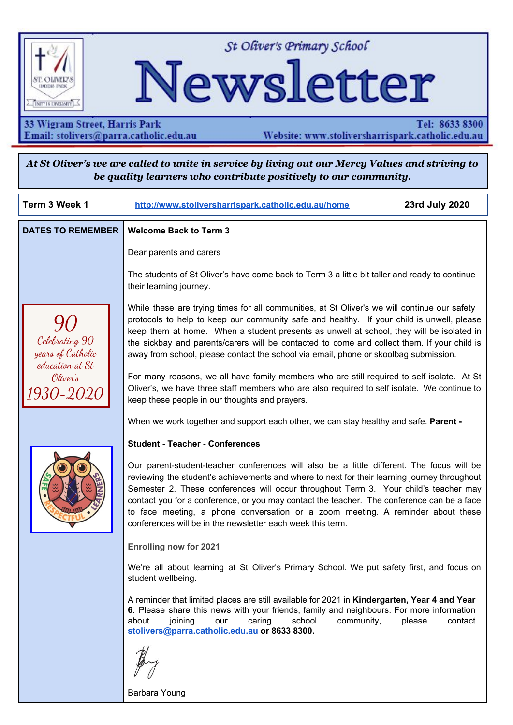

St Oliver's Primary School

# Newsletter

33 Wigram Street, Harris Park Email: stolivers@parra.catholic.edu.au

Tel: 8633 8300 Website: www.stoliversharrispark.catholic.edu.au

At St Oliver's we are called to unite in service by living out our Mercy Values and striving to *be quality learners who contribute positively to our community.*

| Term 3 Week 1                                          | 23rd July 2020<br>http://www.stoliversharrispark.catholic.edu.au/home                                                                                                                                                                                                                                                                                                                                                                                                                                                            |         |
|--------------------------------------------------------|----------------------------------------------------------------------------------------------------------------------------------------------------------------------------------------------------------------------------------------------------------------------------------------------------------------------------------------------------------------------------------------------------------------------------------------------------------------------------------------------------------------------------------|---------|
| <b>DATES TO REMEMBER</b>                               | <b>Welcome Back to Term 3</b>                                                                                                                                                                                                                                                                                                                                                                                                                                                                                                    |         |
|                                                        | Dear parents and carers                                                                                                                                                                                                                                                                                                                                                                                                                                                                                                          |         |
|                                                        | The students of St Oliver's have come back to Term 3 a little bit taller and ready to continue<br>their learning journey.                                                                                                                                                                                                                                                                                                                                                                                                        |         |
| Celebrating 90<br>years of Catholic<br>education at St | While these are trying times for all communities, at St Oliver's we will continue our safety<br>protocols to help to keep our community safe and healthy. If your child is unwell, please<br>keep them at home. When a student presents as unwell at school, they will be isolated in<br>the sickbay and parents/carers will be contacted to come and collect them. If your child is<br>away from school, please contact the school via email, phone or skoolbag submission.                                                     |         |
| Oliver's<br><i>1930-2020</i>                           | For many reasons, we all have family members who are still required to self isolate. At St<br>Oliver's, we have three staff members who are also required to self isolate. We continue to<br>keep these people in our thoughts and prayers.                                                                                                                                                                                                                                                                                      |         |
|                                                        | When we work together and support each other, we can stay healthy and safe. Parent -                                                                                                                                                                                                                                                                                                                                                                                                                                             |         |
|                                                        | <b>Student - Teacher - Conferences</b>                                                                                                                                                                                                                                                                                                                                                                                                                                                                                           |         |
|                                                        | Our parent-student-teacher conferences will also be a little different. The focus will be<br>reviewing the student's achievements and where to next for their learning journey throughout<br>Semester 2. These conferences will occur throughout Term 3. Your child's teacher may<br>contact you for a conference, or you may contact the teacher. The conference can be a face<br>to face meeting, a phone conversation or a zoom meeting. A reminder about these<br>conferences will be in the newsletter each week this term. |         |
|                                                        | <b>Enrolling now for 2021</b>                                                                                                                                                                                                                                                                                                                                                                                                                                                                                                    |         |
|                                                        | We're all about learning at St Oliver's Primary School. We put safety first, and focus on<br>student wellbeing.                                                                                                                                                                                                                                                                                                                                                                                                                  |         |
|                                                        | A reminder that limited places are still available for 2021 in Kindergarten, Year 4 and Year<br>6. Please share this news with your friends, family and neighbours. For more information<br>about<br>joining<br>our<br>caring<br>school<br>community,<br>please<br>stolivers@parra.catholic.edu.au or 8633 8300.                                                                                                                                                                                                                 | contact |
|                                                        |                                                                                                                                                                                                                                                                                                                                                                                                                                                                                                                                  |         |

Barbara Young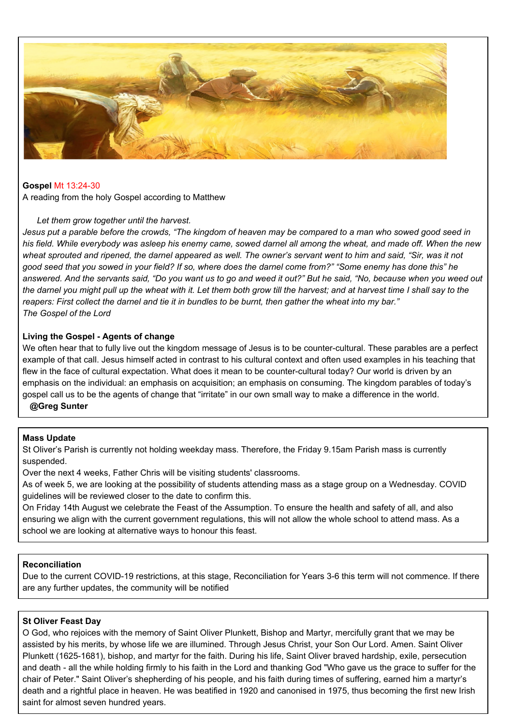

#### **Gospel** Mt [13:24-30](https://www.liturgyhelp.com/ritual/lectionary/LectionaryList%7Cmtw#mtw013)

A reading from the holy Gospel according to Matthew

#### *Let them grow together until the harvest.*

Jesus put a parable before the crowds, "The kingdom of heaven may be compared to a man who sowed good seed in his field. While everybody was asleep his enemy came, sowed darnel all among the wheat, and made off. When the new wheat sprouted and ripened, the darnel appeared as well. The owner's servant went to him and said, "Sir, was it not good seed that you sowed in your field? If so, where does the darnel come from?" "Some enemy has done this" he answered. And the servants said, "Do you want us to go and weed it out?" But he said, "No, because when you weed out the darnel you might pull up the wheat with it. Let them both grow till the harvest; and at harvest time I shall say to the reapers: First collect the darnel and tie it in bundles to be burnt, then gather the wheat into my bar." *The Gospel of the Lord*

#### **Living the Gospel - Agents of change**

We often hear that to fully live out the kingdom message of Jesus is to be counter-cultural. These parables are a perfect example of that call. Jesus himself acted in contrast to his cultural context and often used examples in his teaching that flew in the face of cultural expectation. What does it mean to be counter-cultural today? Our world is driven by an emphasis on the individual: an emphasis on acquisition; an emphasis on consuming. The kingdom parables of today's gospel call us to be the agents of change that "irritate" in our own small way to make a difference in the world. **@Greg Sunter**

#### **Mass Update**

St Oliver's Parish is currently not holding weekday mass. Therefore, the Friday 9.15am Parish mass is currently suspended.

Over the next 4 weeks, Father Chris will be visiting students' classrooms.

As of week 5, we are looking at the possibility of students attending mass as a stage group on a Wednesday. COVID guidelines will be reviewed closer to the date to confirm this.

On Friday 14th August we celebrate the Feast of the Assumption. To ensure the health and safety of all, and also ensuring we align with the current government regulations, this will not allow the whole school to attend mass. As a school we are looking at alternative ways to honour this feast.

#### **Reconciliation**

Due to the current COVID-19 restrictions, at this stage, Reconciliation for Years 3-6 this term will not commence. If there are any further updates, the community will be notified

#### **St Oliver Feast Day**

O God, who rejoices with the memory of Saint Oliver Plunkett, Bishop and Martyr, mercifully grant that we may be assisted by his merits, by whose life we are illumined. Through Jesus Christ, your Son Our Lord. Amen. Saint Oliver Plunkett (1625-1681), bishop, and martyr for the faith. During his life, Saint Oliver braved hardship, exile, persecution and death - all the while holding firmly to his faith in the Lord and thanking God "Who gave us the grace to suffer for the chair of Peter." Saint Oliver's shepherding of his people, and his faith during times of suffering, earned him a martyr's death and a rightful place in heaven. He was beatified in 1920 and canonised in 1975, thus becoming the first new Irish saint for almost seven hundred years.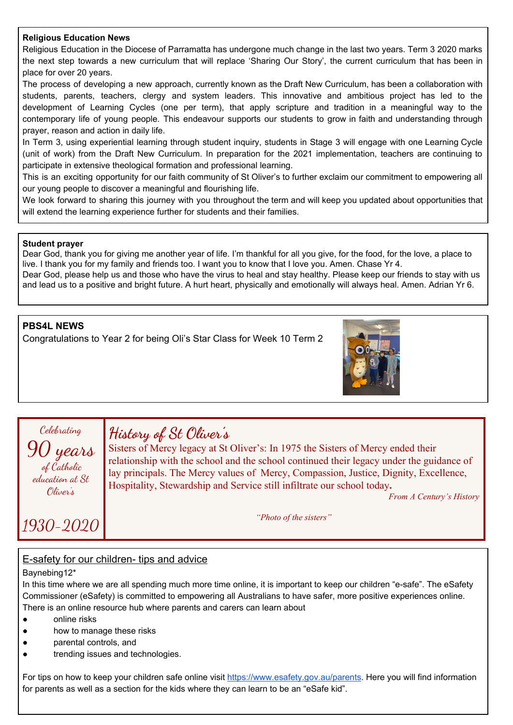#### **Religious Education News**

Religious Education in the Diocese of Parramatta has undergone much change in the last two years. Term 3 2020 marks the next step towards a new curriculum that will replace 'Sharing Our Story', the current curriculum that has been in place for over 20 years.

The process of developing a new approach, currently known as the Draft New Curriculum, has been a collaboration with students, parents, teachers, clergy and system leaders. This innovative and ambitious project has led to the development of Learning Cycles (one per term), that apply scripture and tradition in a meaningful way to the contemporary life of young people. This endeavour supports our students to grow in faith and understanding through prayer, reason and action in daily life.

In Term 3, using experiential learning through student inquiry, students in Stage 3 will engage with one Learning Cycle (unit of work) from the Draft New Curriculum. In preparation for the 2021 implementation, teachers are continuing to participate in extensive theological formation and professional learning.

This is an exciting opportunity for our faith community of St Oliver's to further exclaim our commitment to empowering all our young people to discover a meaningful and flourishing life.

We look forward to sharing this journey with you throughout the term and will keep you updated about opportunities that will extend the learning experience further for students and their families.

#### **Student prayer**

Dear God, thank you for giving me another year of life. I'm thankful for all you give, for the food, for the love, a place to live. I thank you for my family and friends too. I want you to know that I love you. Amen. Chase Yr 4.

Dear God, please help us and those who have the virus to heal and stay healthy. Please keep our friends to stay with us and lead us to a positive and bright future. A hurt heart, physically and emotionally will always heal. Amen. Adrian Yr 6.

#### **PBS4L NEWS**

Congratulations to Year 2 for being Oli's Star Class for Week 10 Term 2





1930-2020

# **History of St Oliver's**

Sisters of Mercy legacy at St Oliver's: In 1975 the Sisters of Mercy ended their relationship with the school and the school continued their legacy under the guidance of lay principals. The Mercy values of Mercy, Compassion, Justice, Dignity, Excellence, Hospitality, Stewardship and Service still infiltrate our school today**.**

*From A Century's History*

*"Photo of the sisters"*

#### E-safety for our children- tips and advice

#### Baynebing12\*

In this time where we are all spending much more time online, it is important to keep our children "e-safe". The eSafety Commissioner (eSafety) is committed to empowering all Australians to have safer, more positive experiences online. There is an online resource hub where parents and carers can learn about

- online risks
- how to manage these risks
- parental controls, and
- trending issues and technologies.

For tips on how to keep your children safe online visit [https://www.esafety.gov.au/parents.](https://www.esafety.gov.au/parents) Here you will find information for parents as well as a section for the kids where they can learn to be an "eSafe kid".